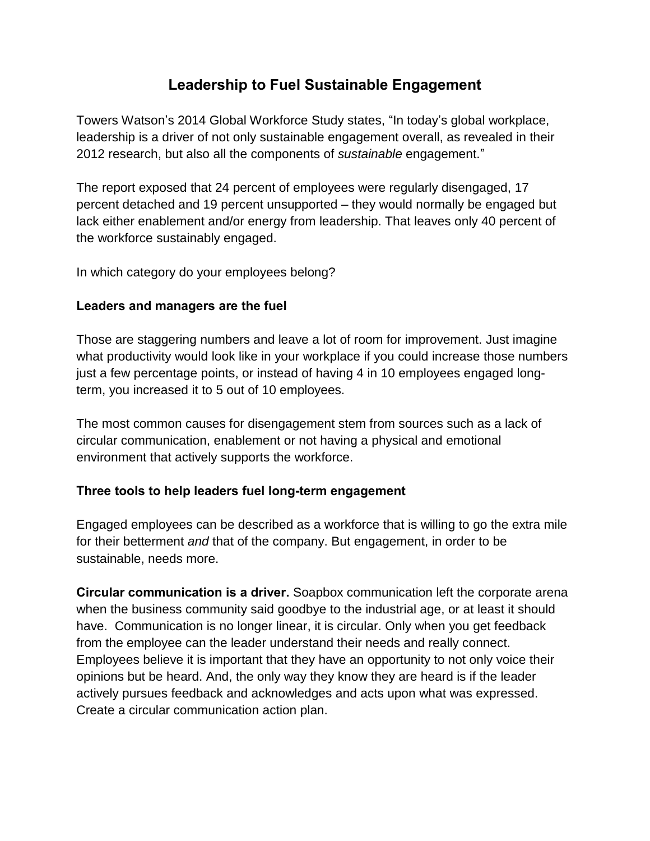## **Leadership to Fuel Sustainable Engagement**

Towers Watson's 2014 Global Workforce Study states, "In today's global workplace, leadership is a driver of not only sustainable engagement overall, as revealed in their 2012 research, but also all the components of *sustainable* engagement."

The report exposed that 24 percent of employees were regularly disengaged, 17 percent detached and 19 percent unsupported – they would normally be engaged but lack either enablement and/or energy from leadership. That leaves only 40 percent of the workforce sustainably engaged.

In which category do your employees belong?

## **Leaders and managers are the fuel**

Those are staggering numbers and leave a lot of room for improvement. Just imagine what productivity would look like in your workplace if you could increase those numbers just a few percentage points, or instead of having 4 in 10 employees engaged longterm, you increased it to 5 out of 10 employees.

The most common causes for disengagement stem from sources such as a lack of circular communication, enablement or not having a physical and emotional environment that actively supports the workforce.

## **Three tools to help leaders fuel long-term engagement**

Engaged employees can be described as a workforce that is willing to go the extra mile for their betterment *and* that of the company. But engagement, in order to be sustainable, needs more.

**Circular communication is a driver.** Soapbox communication left the corporate arena when the business community said goodbye to the industrial age, or at least it should have. Communication is no longer linear, it is circular. Only when you get feedback from the employee can the leader understand their needs and really connect. Employees believe it is important that they have an opportunity to not only voice their opinions but be heard. And, the only way they know they are heard is if the leader actively pursues feedback and acknowledges and acts upon what was expressed. Create a circular communication action plan.